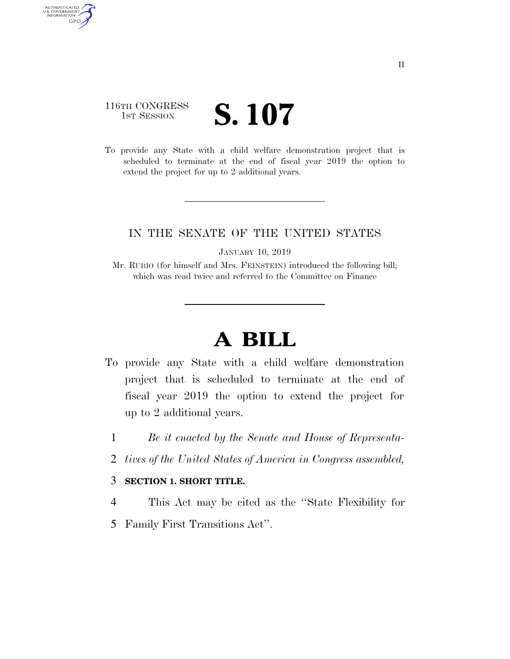## 116TH CONGRESS **1ST SESSION S. 107**

AUTHENTICATED<br>U.S. GOVERNMENT<br>INFORMATION

**GPO** 

To provide any State with a child welfare demonstration project that is scheduled to terminate at the end of fiscal year 2019 the option to extend the project for up to 2 additional years.

## IN THE SENATE OF THE UNITED STATES

JANUARY 10, 2019

Mr. RUBIO (for himself and Mrs. FEINSTEIN) introduced the following bill; which was read twice and referred to the Committee on Finance

## **A BILL**

- To provide any State with a child welfare demonstration project that is scheduled to terminate at the end of fiscal year 2019 the option to extend the project for up to 2 additional years.
	- 1 *Be it enacted by the Senate and House of Representa-*
	- 2 *tives of the United States of America in Congress assembled,*

## 3 **SECTION 1. SHORT TITLE.**

- 4 This Act may be cited as the ''State Flexibility for
- 5 Family First Transitions Act''.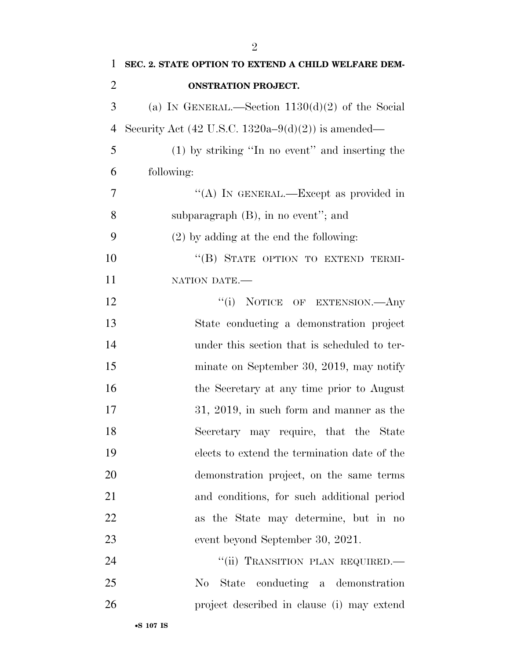| 1              | SEC. 2. STATE OPTION TO EXTEND A CHILD WELFARE DEM-           |
|----------------|---------------------------------------------------------------|
| $\overline{2}$ | <b>ONSTRATION PROJECT.</b>                                    |
| 3              | (a) IN GENERAL.—Section $1130(d)(2)$ of the Social            |
| $\overline{4}$ | Security Act $(42 \text{ U.S.C. } 1320a-9(d)(2))$ is amended— |
| 5              | (1) by striking "In no event" and inserting the               |
| 6              | following:                                                    |
| 7              | "(A) IN GENERAL.—Except as provided in                        |
| 8              | subparagraph $(B)$ , in no event"; and                        |
| 9              | $(2)$ by adding at the end the following:                     |
| 10             | "(B) STATE OPTION TO EXTEND TERMI-                            |
| 11             | NATION DATE.                                                  |
| 12             | "(i) NOTICE OF EXTENSION. Any                                 |
| 13             | State conducting a demonstration project                      |
| 14             | under this section that is scheduled to ter-                  |
| 15             | minate on September 30, 2019, may notify                      |
| 16             | the Secretary at any time prior to August                     |
| 17             | $31, 2019$ , in such form and manner as the                   |
| 18             | Secretary may require, that the State                         |
| 19             | elects to extend the termination date of the                  |
| 20             | demonstration project, on the same terms                      |
| 21             | and conditions, for such additional period                    |
| 22             | as the State may determine, but in no                         |
| 23             | event beyond September 30, 2021.                              |
| 24             | "(ii) TRANSITION PLAN REQUIRED.-                              |
| 25             | conducting a demonstration<br>$\rm No$<br>State               |
| 26             | project described in clause (i) may extend                    |
|                |                                                               |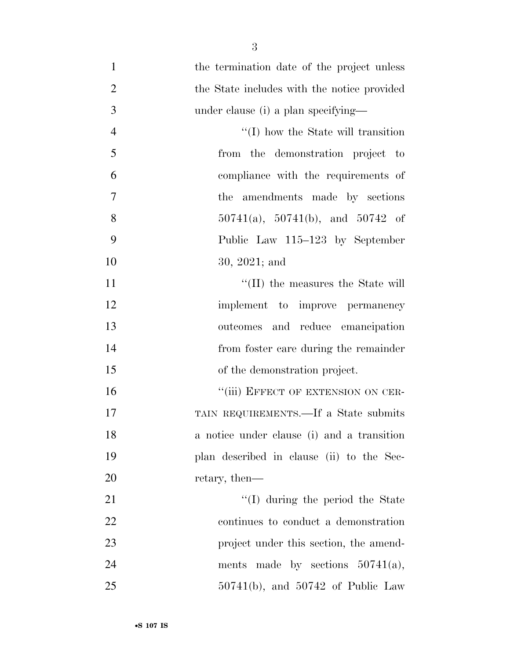- 1 the termination date of the project unless 2 the State includes with the notice provided 3 under clause (i) a plan specifying— 4 ''(I) how the State will transition 5 from the demonstration project to 6 compliance with the requirements of 7 the amendments made by sections 8  $50741(a)$ , 50741(b), and 50742 of 9 Public Law 115–123 by September 10 30, 2021; and 11  $\text{``(II)}$  the measures the State will 12 implement to improve permanency 13 outcomes and reduce emancipation
- 14 from foster care during the remainder 15 of the demonstration project. 16 "(iii) EFFECT OF EXTENSION ON CER-

 TAIN REQUIREMENTS.—If a State submits a notice under clause (i) and a transition plan described in clause (ii) to the Sec-20 retary, then—

21 ''(I) during the period the State 22 continues to conduct a demonstration 23 project under this section, the amend-24 ments made by sections  $50741(a)$ , 25 50741(b), and 50742 of Public Law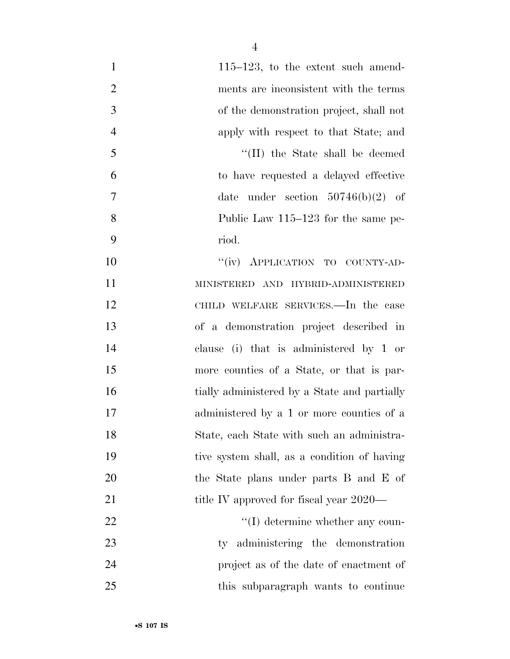| $\mathbf{1}$   | $115-123$ , to the extent such amend-        |
|----------------|----------------------------------------------|
| $\overline{2}$ | ments are inconsistent with the terms        |
| 3              | of the demonstration project, shall not      |
| $\overline{4}$ | apply with respect to that State; and        |
| 5              | "(II) the State shall be deemed              |
| 6              | to have requested a delayed effective        |
| 7              | date under section $50746(b)(2)$ of          |
| 8              | Public Law 115–123 for the same pe-          |
| 9              | riod.                                        |
| 10             | "(iv) APPLICATION TO COUNTY-AD-              |
| 11             | MINISTERED AND HYBRID-ADMINISTERED           |
| 12             | CHILD WELFARE SERVICES.—In the case          |
| 13             | of a demonstration project described in      |
| 14             | clause (i) that is administered by 1 or      |
| 15             | more counties of a State, or that is par-    |
| 16             | tially administered by a State and partially |
| 17             | administered by a 1 or more counties of a    |
| 18             | State, each State with such an administra-   |
| 19             | tive system shall, as a condition of having  |
| 20             | the State plans under parts B and E of       |
| 21             | title IV approved for fiscal year 2020—      |
| 22             | $\lq\lq$ determine whether any coun-         |
| 23             | ty administering the demonstration           |
| 24             | project as of the date of enactment of       |
| 25             | this subparagraph wants to continue          |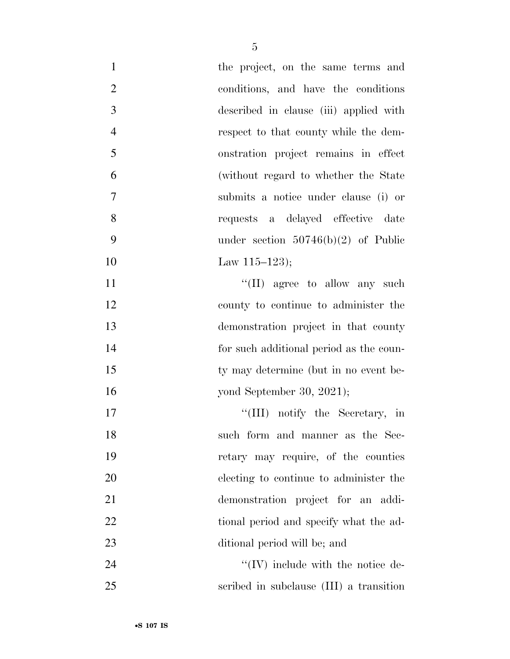| $\mathbf{1}$   | the project, on the same terms and        |
|----------------|-------------------------------------------|
| $\overline{2}$ | conditions, and have the conditions       |
| 3              | described in clause (iii) applied with    |
| $\overline{4}$ | respect to that county while the dem-     |
| 5              | onstration project remains in effect      |
| 6              | (without regard to whether the State)     |
| 7              | submits a notice under clause (i) or      |
| 8              | requests a delayed effective date         |
| 9              | under section $50746(b)(2)$ of Public     |
| 10             | Law $115-123$ ;                           |
| 11             | $\lq\lq$ (II) agree to allow any such     |
| 12             | county to continue to administer the      |
| 13             | demonstration project in that county      |
| 14             | for such additional period as the coun-   |
| 15             | ty may determine (but in no event be-     |
| 16             | yond September 30, 2021);                 |
| 17             | "(III) notify the Secretary, in           |
| 18             | such form and manner as the Sec-          |
| 19             | retary may require, of the counties       |
| 20             | electing to continue to administer the    |
| 21             | demonstration project for an addi-        |
| 22             | tional period and specify what the ad-    |
| 23             | ditional period will be; and              |
| 24             | $\lq\lq$ (IV) include with the notice de- |
| 25             | scribed in subclause (III) a transition   |